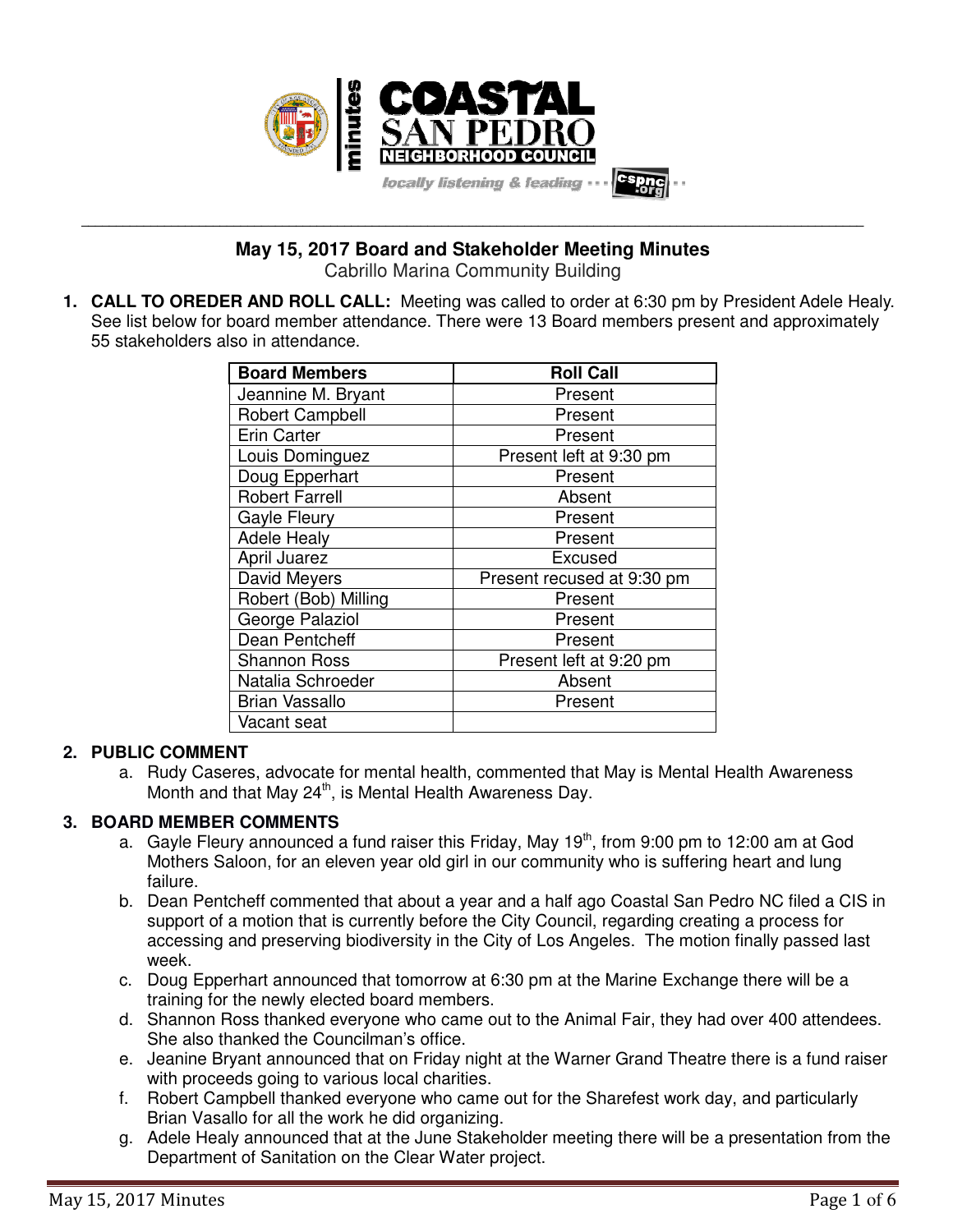

**May 15, 2017 Board and Stakeholder Meeting Minutes** Cabrillo Marina Community Building

**\_\_\_\_\_\_\_\_\_\_\_\_\_\_\_\_\_\_\_\_\_\_\_\_\_\_\_\_\_\_\_\_\_\_\_\_\_\_\_\_\_\_\_\_\_\_\_\_\_\_\_\_\_\_\_\_\_\_\_\_\_\_\_\_\_\_\_\_\_\_\_\_\_\_\_\_\_\_\_\_\_\_\_\_\_\_\_\_\_\_\_\_\_\_\_\_\_\_\_\_\_\_\_\_\_\_\_\_\_\_\_\_\_**

**1. CALL TO OREDER AND ROLL CALL:** Meeting was called to order at 6:30 pm by President Adele Healy. See list below for board member attendance. There were 13 Board members present and approximately 55 stakeholders also in attendance.

| <b>Board Members</b>   | <b>Roll Call</b>           |
|------------------------|----------------------------|
| Jeannine M. Bryant     | Present                    |
| <b>Robert Campbell</b> | Present                    |
| Erin Carter            | Present                    |
| Louis Dominguez        | Present left at 9:30 pm    |
| Doug Epperhart         | Present                    |
| <b>Robert Farrell</b>  | Absent                     |
| Gayle Fleury           | Present                    |
| <b>Adele Healy</b>     | Present                    |
| April Juarez           | Excused                    |
| David Meyers           | Present recused at 9:30 pm |
| Robert (Bob) Milling   | Present                    |
| George Palaziol        | Present                    |
| Dean Pentcheff         | Present                    |
| <b>Shannon Ross</b>    | Present left at 9:20 pm    |
| Natalia Schroeder      | Absent                     |
| <b>Brian Vassallo</b>  | Present                    |
| Vacant seat            |                            |

## **2. PUBLIC COMMENT**

a. Rudy Caseres, advocate for mental health, commented that May is Mental Health Awareness Month and that May  $24<sup>th</sup>$ , is Mental Health Awareness Day.

# **3. BOARD MEMBER COMMENTS**

- a. Gayle Fleury announced a fund raiser this Friday, May  $19<sup>th</sup>$ , from 9:00 pm to 12:00 am at God Mothers Saloon, for an eleven year old girl in our community who is suffering heart and lung failure.
- b. Dean Pentcheff commented that about a year and a half ago Coastal San Pedro NC filed a CIS in support of a motion that is currently before the City Council, regarding creating a process for accessing and preserving biodiversity in the City of Los Angeles. The motion finally passed last week.
- c. Doug Epperhart announced that tomorrow at 6:30 pm at the Marine Exchange there will be a training for the newly elected board members.
- d. Shannon Ross thanked everyone who came out to the Animal Fair, they had over 400 attendees. She also thanked the Councilman's office.
- e. Jeanine Bryant announced that on Friday night at the Warner Grand Theatre there is a fund raiser with proceeds going to various local charities.
- f. Robert Campbell thanked everyone who came out for the Sharefest work day, and particularly Brian Vasallo for all the work he did organizing.
- g. Adele Healy announced that at the June Stakeholder meeting there will be a presentation from the Department of Sanitation on the Clear Water project.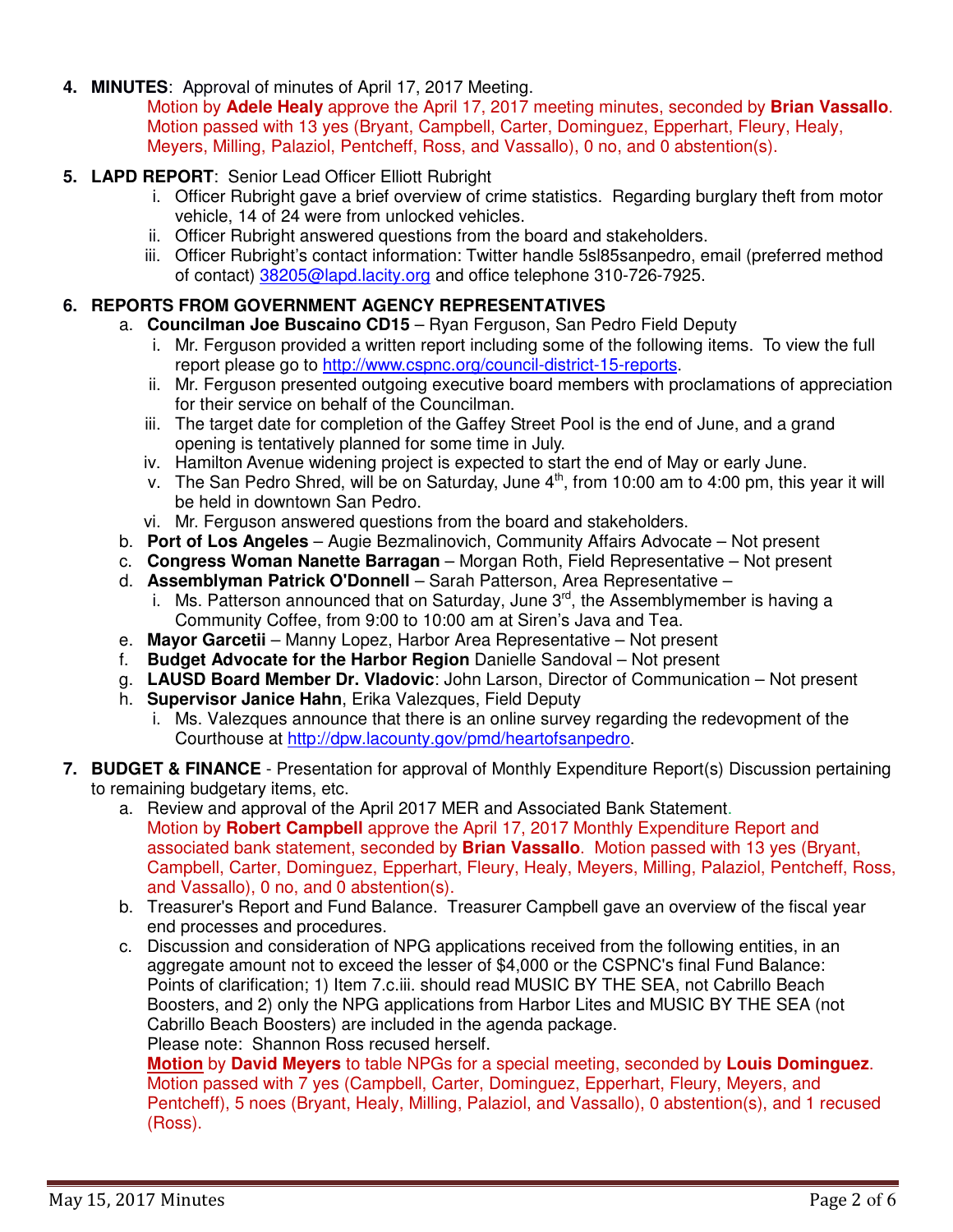**4. MINUTES**: Approval of minutes of April 17, 2017 Meeting.

Motion by **Adele Healy** approve the April 17, 2017 meeting minutes, seconded by **Brian Vassallo**. Motion passed with 13 yes (Bryant, Campbell, Carter, Dominguez, Epperhart, Fleury, Healy, Meyers, Milling, Palaziol, Pentcheff, Ross, and Vassallo), 0 no, and 0 abstention(s).

## **5. LAPD REPORT**: Senior Lead Officer Elliott Rubright

- i. Officer Rubright gave a brief overview of crime statistics. Regarding burglary theft from motor vehicle, 14 of 24 were from unlocked vehicles.
- ii. Officer Rubright answered questions from the board and stakeholders.
- iii. Officer Rubright's contact information: Twitter handle 5sl85sanpedro, email (preferred method of contact) 38205@lapd.lacity.org and office telephone 310-726-7925.

## **6. REPORTS FROM GOVERNMENT AGENCY REPRESENTATIVES**

a. **Councilman Joe Buscaino CD15** – Ryan Ferguson, San Pedro Field Deputy

- i. Mr. Ferguson provided a written report including some of the following items. To view the full report please go to http://www.cspnc.org/council-district-15-reports.
- ii. Mr. Ferguson presented outgoing executive board members with proclamations of appreciation for their service on behalf of the Councilman.
- iii. The target date for completion of the Gaffey Street Pool is the end of June, and a grand opening is tentatively planned for some time in July.
- iv. Hamilton Avenue widening project is expected to start the end of May or early June.
- v. The San Pedro Shred, will be on Saturday, June  $4<sup>th</sup>$ , from 10:00 am to 4:00 pm, this year it will be held in downtown San Pedro.
- vi. Mr. Ferguson answered questions from the board and stakeholders.
- b. **Port of Los Angeles** Augie Bezmalinovich, Community Affairs Advocate Not present
- c. **Congress Woman Nanette Barragan** Morgan Roth, Field Representative Not present
- d. **Assemblyman Patrick O'Donnell** Sarah Patterson, Area Representative
	- i. Ms. Patterson announced that on Saturday, June  $3<sup>rd</sup>$ , the Assemblymember is having a Community Coffee, from 9:00 to 10:00 am at Siren's Java and Tea.
- e. **Mayor Garcetii** Manny Lopez, Harbor Area Representative Not present
- f. **Budget Advocate for the Harbor Region** Danielle Sandoval Not present
- g. **LAUSD Board Member Dr. Vladovic**: John Larson, Director of Communication Not present
- h. **Supervisor Janice Hahn**, Erika Valezques, Field Deputy
	- i. Ms. Valezques announce that there is an online survey regarding the redevopment of the Courthouse at http://dpw.lacounty.gov/pmd/heartofsanpedro.

#### **7. BUDGET & FINANCE** - Presentation for approval of Monthly Expenditure Report(s) Discussion pertaining to remaining budgetary items, etc.

- a. Review and approval of the April 2017 MER and Associated Bank Statement. Motion by **Robert Campbell** approve the April 17, 2017 Monthly Expenditure Report and associated bank statement, seconded by **Brian Vassallo**. Motion passed with 13 yes (Bryant, Campbell, Carter, Dominguez, Epperhart, Fleury, Healy, Meyers, Milling, Palaziol, Pentcheff, Ross, and Vassallo), 0 no, and 0 abstention(s).
- b. Treasurer's Report and Fund Balance. Treasurer Campbell gave an overview of the fiscal year end processes and procedures.
- c. Discussion and consideration of NPG applications received from the following entities, in an aggregate amount not to exceed the lesser of \$4,000 or the CSPNC's final Fund Balance: Points of clarification; 1) Item 7.c.iii. should read MUSIC BY THE SEA, not Cabrillo Beach Boosters, and 2) only the NPG applications from Harbor Lites and MUSIC BY THE SEA (not Cabrillo Beach Boosters) are included in the agenda package. Please note: Shannon Ross recused herself.

**Motion** by **David Meyers** to table NPGs for a special meeting, seconded by **Louis Dominguez**. Motion passed with 7 yes (Campbell, Carter, Dominguez, Epperhart, Fleury, Meyers, and Pentcheff), 5 noes (Bryant, Healy, Milling, Palaziol, and Vassallo), 0 abstention(s), and 1 recused (Ross).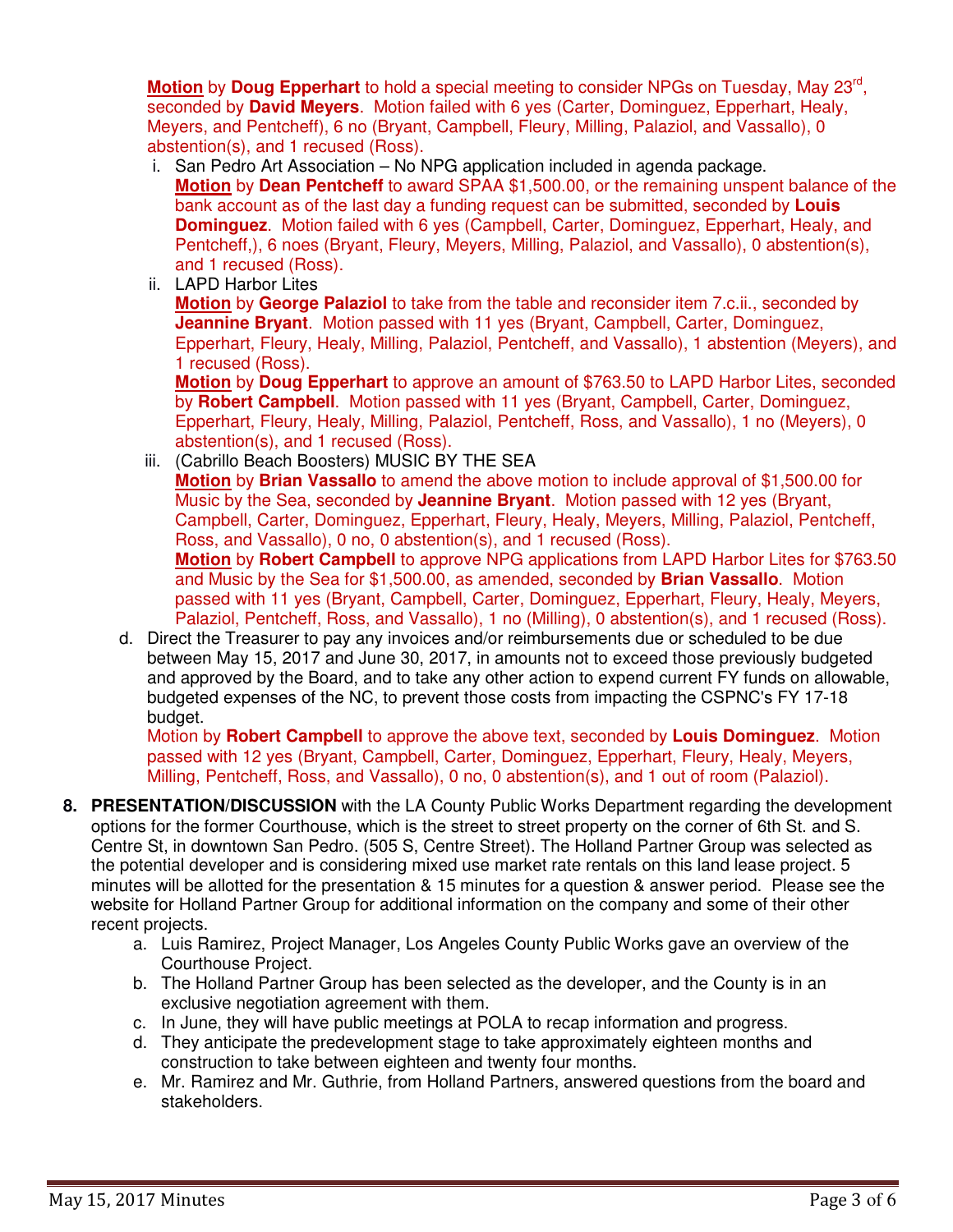**Motion** by **Doug Epperhart** to hold a special meeting to consider NPGs on Tuesday, May 23<sup>rd</sup>, seconded by **David Meyers**. Motion failed with 6 yes (Carter, Dominguez, Epperhart, Healy, Meyers, and Pentcheff), 6 no (Bryant, Campbell, Fleury, Milling, Palaziol, and Vassallo), 0 abstention(s), and 1 recused (Ross).

- i. San Pedro Art Association No NPG application included in agenda package. **Motion** by **Dean Pentcheff** to award SPAA \$1,500.00, or the remaining unspent balance of the bank account as of the last day a funding request can be submitted, seconded by **Louis Dominguez**. Motion failed with 6 yes (Campbell, Carter, Dominguez, Epperhart, Healy, and Pentcheff,), 6 noes (Bryant, Fleury, Meyers, Milling, Palaziol, and Vassallo), 0 abstention(s), and 1 recused (Ross).
- ii. LAPD Harbor Lites

**Motion** by **George Palaziol** to take from the table and reconsider item 7.c.ii., seconded by **Jeannine Bryant**. Motion passed with 11 yes (Bryant, Campbell, Carter, Dominguez, Epperhart, Fleury, Healy, Milling, Palaziol, Pentcheff, and Vassallo), 1 abstention (Meyers), and 1 recused (Ross).

**Motion** by **Doug Epperhart** to approve an amount of \$763.50 to LAPD Harbor Lites, seconded by **Robert Campbell**. Motion passed with 11 yes (Bryant, Campbell, Carter, Dominguez, Epperhart, Fleury, Healy, Milling, Palaziol, Pentcheff, Ross, and Vassallo), 1 no (Meyers), 0 abstention(s), and 1 recused (Ross).

- iii. (Cabrillo Beach Boosters) MUSIC BY THE SEA **Motion** by **Brian Vassallo** to amend the above motion to include approval of \$1,500.00 for Music by the Sea, seconded by **Jeannine Bryant**. Motion passed with 12 yes (Bryant, Campbell, Carter, Dominguez, Epperhart, Fleury, Healy, Meyers, Milling, Palaziol, Pentcheff, Ross, and Vassallo), 0 no, 0 abstention(s), and 1 recused (Ross). **Motion** by **Robert Campbell** to approve NPG applications from LAPD Harbor Lites for \$763.50 and Music by the Sea for \$1,500.00, as amended, seconded by **Brian Vassallo**. Motion passed with 11 yes (Bryant, Campbell, Carter, Dominguez, Epperhart, Fleury, Healy, Meyers, Palaziol, Pentcheff, Ross, and Vassallo), 1 no (Milling), 0 abstention(s), and 1 recused (Ross).
- d. Direct the Treasurer to pay any invoices and/or reimbursements due or scheduled to be due between May 15, 2017 and June 30, 2017, in amounts not to exceed those previously budgeted and approved by the Board, and to take any other action to expend current FY funds on allowable, budgeted expenses of the NC, to prevent those costs from impacting the CSPNC's FY 17-18 budget.

Motion by **Robert Campbell** to approve the above text, seconded by **Louis Dominguez**. Motion passed with 12 yes (Bryant, Campbell, Carter, Dominguez, Epperhart, Fleury, Healy, Meyers, Milling, Pentcheff, Ross, and Vassallo), 0 no, 0 abstention(s), and 1 out of room (Palaziol).

- **8. PRESENTATION/DISCUSSION** with the LA County Public Works Department regarding the development options for the former Courthouse, which is the street to street property on the corner of 6th St. and S. Centre St, in downtown San Pedro. (505 S, Centre Street). The Holland Partner Group was selected as the potential developer and is considering mixed use market rate rentals on this land lease project. 5 minutes will be allotted for the presentation & 15 minutes for a question & answer period. Please see the website for Holland Partner Group for additional information on the company and some of their other recent projects.
	- a. Luis Ramirez, Project Manager, Los Angeles County Public Works gave an overview of the Courthouse Project.
	- b. The Holland Partner Group has been selected as the developer, and the County is in an exclusive negotiation agreement with them.
	- c. In June, they will have public meetings at POLA to recap information and progress.
	- d. They anticipate the predevelopment stage to take approximately eighteen months and construction to take between eighteen and twenty four months.
	- e. Mr. Ramirez and Mr. Guthrie, from Holland Partners, answered questions from the board and stakeholders.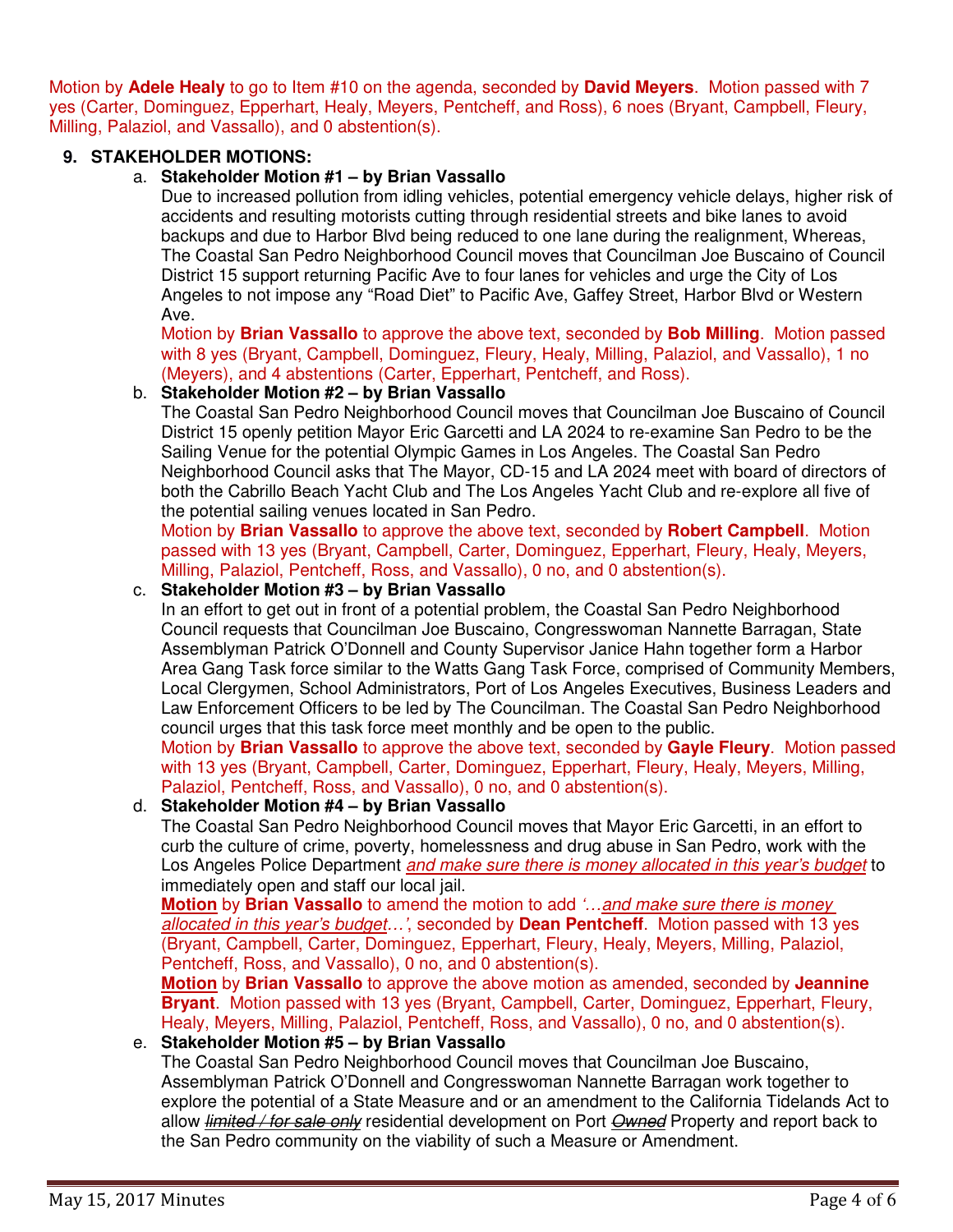Motion by **Adele Healy** to go to Item #10 on the agenda, seconded by **David Meyers**. Motion passed with 7 yes (Carter, Dominguez, Epperhart, Healy, Meyers, Pentcheff, and Ross), 6 noes (Bryant, Campbell, Fleury, Milling, Palaziol, and Vassallo), and 0 abstention(s).

# **9. STAKEHOLDER MOTIONS:**

## a. **Stakeholder Motion #1 – by Brian Vassallo**

Due to increased pollution from idling vehicles, potential emergency vehicle delays, higher risk of accidents and resulting motorists cutting through residential streets and bike lanes to avoid backups and due to Harbor Blvd being reduced to one lane during the realignment, Whereas, The Coastal San Pedro Neighborhood Council moves that Councilman Joe Buscaino of Council District 15 support returning Pacific Ave to four lanes for vehicles and urge the City of Los Angeles to not impose any "Road Diet" to Pacific Ave, Gaffey Street, Harbor Blvd or Western Ave.

Motion by **Brian Vassallo** to approve the above text, seconded by **Bob Milling**. Motion passed with 8 yes (Bryant, Campbell, Dominguez, Fleury, Healy, Milling, Palaziol, and Vassallo), 1 no (Meyers), and 4 abstentions (Carter, Epperhart, Pentcheff, and Ross).

## b. **Stakeholder Motion #2 – by Brian Vassallo**

The Coastal San Pedro Neighborhood Council moves that Councilman Joe Buscaino of Council District 15 openly petition Mayor Eric Garcetti and LA 2024 to re-examine San Pedro to be the Sailing Venue for the potential Olympic Games in Los Angeles. The Coastal San Pedro Neighborhood Council asks that The Mayor, CD-15 and LA 2024 meet with board of directors of both the Cabrillo Beach Yacht Club and The Los Angeles Yacht Club and re-explore all five of the potential sailing venues located in San Pedro.

Motion by **Brian Vassallo** to approve the above text, seconded by **Robert Campbell**. Motion passed with 13 yes (Bryant, Campbell, Carter, Dominguez, Epperhart, Fleury, Healy, Meyers, Milling, Palaziol, Pentcheff, Ross, and Vassallo), 0 no, and 0 abstention(s).

# c. **Stakeholder Motion #3 – by Brian Vassallo**

In an effort to get out in front of a potential problem, the Coastal San Pedro Neighborhood Council requests that Councilman Joe Buscaino, Congresswoman Nannette Barragan, State Assemblyman Patrick O'Donnell and County Supervisor Janice Hahn together form a Harbor Area Gang Task force similar to the Watts Gang Task Force, comprised of Community Members, Local Clergymen, School Administrators, Port of Los Angeles Executives, Business Leaders and Law Enforcement Officers to be led by The Councilman. The Coastal San Pedro Neighborhood council urges that this task force meet monthly and be open to the public.

Motion by **Brian Vassallo** to approve the above text, seconded by **Gayle Fleury**. Motion passed with 13 yes (Bryant, Campbell, Carter, Dominguez, Epperhart, Fleury, Healy, Meyers, Milling, Palaziol, Pentcheff, Ross, and Vassallo), 0 no, and 0 abstention(s).

## d. **Stakeholder Motion #4 – by Brian Vassallo**

The Coastal San Pedro Neighborhood Council moves that Mayor Eric Garcetti, in an effort to curb the culture of crime, poverty, homelessness and drug abuse in San Pedro, work with the Los Angeles Police Department and make sure there is money allocated in this year's budget to immediately open and staff our local jail.

**Motion** by **Brian Vassallo** to amend the motion to add '…and make sure there is money allocated in this year's budget…', seconded by **Dean Pentcheff**. Motion passed with 13 yes (Bryant, Campbell, Carter, Dominguez, Epperhart, Fleury, Healy, Meyers, Milling, Palaziol, Pentcheff, Ross, and Vassallo), 0 no, and 0 abstention(s).

**Motion** by **Brian Vassallo** to approve the above motion as amended, seconded by **Jeannine Bryant**. Motion passed with 13 yes (Bryant, Campbell, Carter, Dominguez, Epperhart, Fleury, Healy, Meyers, Milling, Palaziol, Pentcheff, Ross, and Vassallo), 0 no, and 0 abstention(s).

# e. **Stakeholder Motion #5 – by Brian Vassallo**

The Coastal San Pedro Neighborhood Council moves that Councilman Joe Buscaino, Assemblyman Patrick O'Donnell and Congresswoman Nannette Barragan work together to explore the potential of a State Measure and or an amendment to the California Tidelands Act to allow *limited / for sale only* residential development on Port *Owned* Property and report back to the San Pedro community on the viability of such a Measure or Amendment.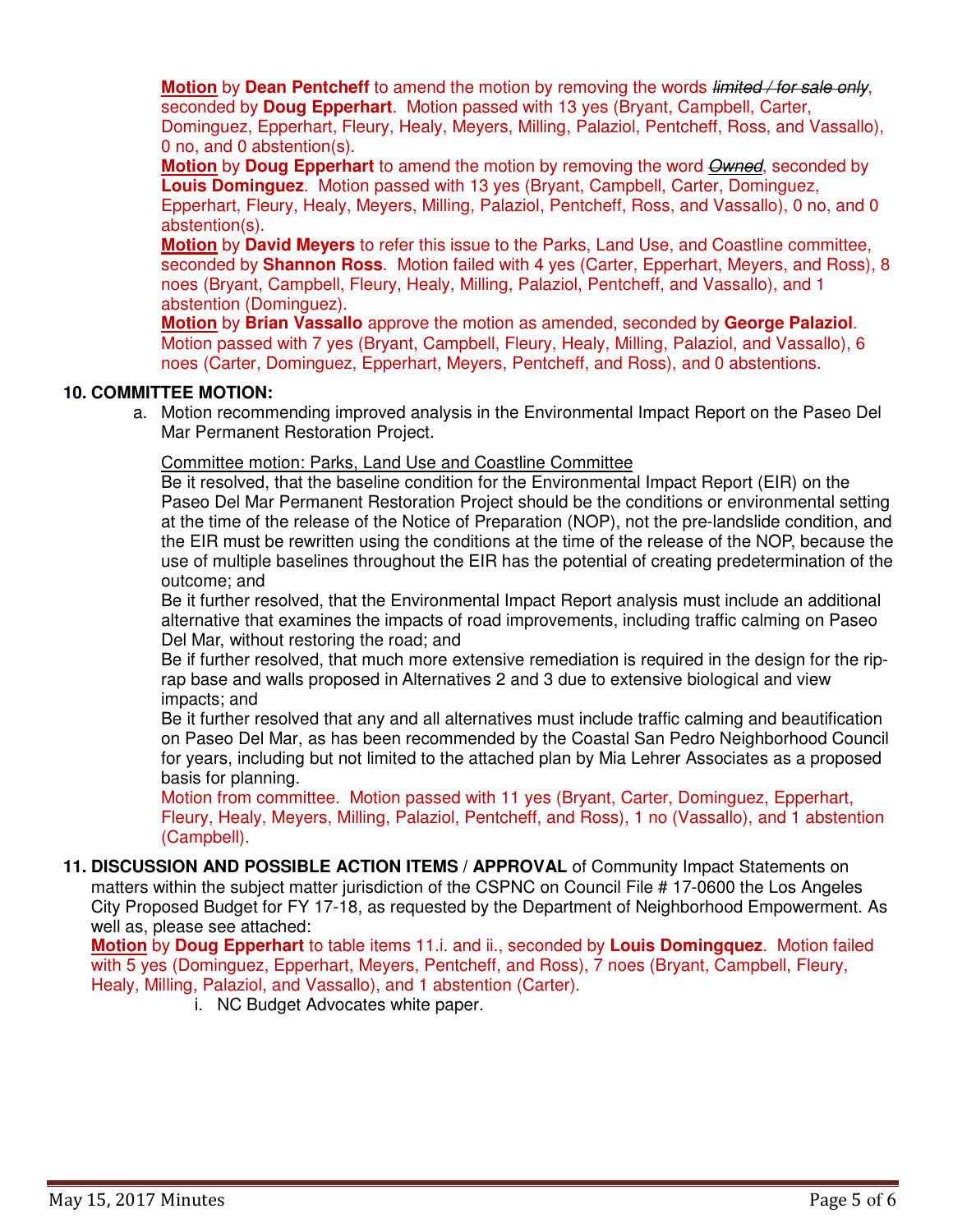**Motion** by **Dean Pentcheff** to amend the motion by removing the words limited / for sale only, seconded by **Doug Epperhart**. Motion passed with 13 yes (Bryant, Campbell, Carter, Dominguez, Epperhart, Fleury, Healy, Meyers, Milling, Palaziol, Pentcheff, Ross, and Vassallo), 0 no, and 0 abstention(s).

**Motion** by **Doug Epperhart** to amend the motion by removing the word **Owned**, seconded by **Louis Dominguez**. Motion passed with 13 yes (Bryant, Campbell, Carter, Dominguez, Epperhart, Fleury, Healy, Meyers, Milling, Palaziol, Pentcheff, Ross, and Vassallo), 0 no, and 0 abstention(s).

**Motion** by **David Meyers** to refer this issue to the Parks, Land Use, and Coastline committee, seconded by **Shannon Ross**. Motion failed with 4 yes (Carter, Epperhart, Meyers, and Ross), 8 noes (Bryant, Campbell, Fleury, Healy, Milling, Palaziol, Pentcheff, and Vassallo), and 1 abstention (Dominguez).

**Motion** by **Brian Vassallo** approve the motion as amended, seconded by **George Palaziol**. Motion passed with 7 yes (Bryant, Campbell, Fleury, Healy, Milling, Palaziol, and Vassallo), 6 noes (Carter, Dominguez, Epperhart, Meyers, Pentcheff, and Ross), and 0 abstentions.

## **10. COMMITTEE MOTION:**

a. Motion recommending improved analysis in the Environmental Impact Report on the Paseo Del Mar Permanent Restoration Project.

#### Committee motion: Parks, Land Use and Coastline Committee

Be it resolved, that the baseline condition for the Environmental Impact Report (EIR) on the Paseo Del Mar Permanent Restoration Project should be the conditions or environmental setting at the time of the release of the Notice of Preparation (NOP), not the pre-landslide condition, and the EIR must be rewritten using the conditions at the time of the release of the NOP, because the use of multiple baselines throughout the EIR has the potential of creating predetermination of the outcome; and

Be it further resolved, that the Environmental Impact Report analysis must include an additional alternative that examines the impacts of road improvements, including traffic calming on Paseo Del Mar, without restoring the road; and

Be if further resolved, that much more extensive remediation is required in the design for the riprap base and walls proposed in Alternatives 2 and 3 due to extensive biological and view impacts; and

Be it further resolved that any and all alternatives must include traffic calming and beautification on Paseo Del Mar, as has been recommended by the Coastal San Pedro Neighborhood Council for years, including but not limited to the attached plan by Mia Lehrer Associates as a proposed basis for planning.

Motion from committee. Motion passed with 11 yes (Bryant, Carter, Dominguez, Epperhart, Fleury, Healy, Meyers, Milling, Palaziol, Pentcheff, and Ross), 1 no (Vassallo), and 1 abstention (Campbell).

**11. DISCUSSION AND POSSIBLE ACTION ITEMS / APPROVAL** of Community Impact Statements on matters within the subject matter jurisdiction of the CSPNC on Council File # 17-0600 the Los Angeles City Proposed Budget for FY 17-18, as requested by the Department of Neighborhood Empowerment. As well as, please see attached:

**Motion** by **Doug Epperhart** to table items 11.i. and ii., seconded by **Louis Domingquez**. Motion failed with 5 yes (Dominguez, Epperhart, Meyers, Pentcheff, and Ross), 7 noes (Bryant, Campbell, Fleury, Healy, Milling, Palaziol, and Vassallo), and 1 abstention (Carter).

i. NC Budget Advocates white paper.